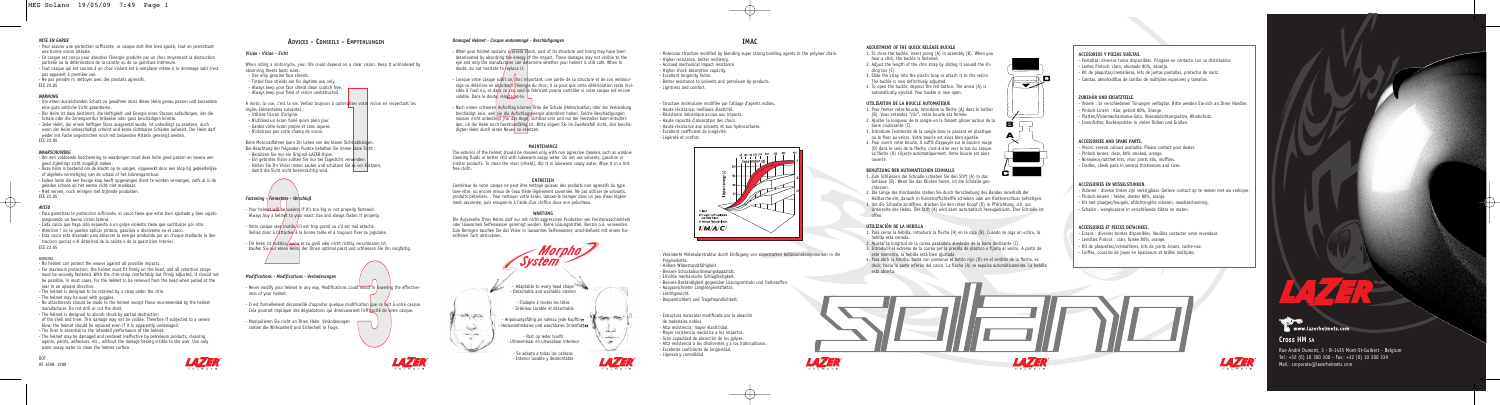## *MISE EN GARDE*

- Pour assurer une protection suffisante, ce casque doit être bien ajusté, tout en permettant une bonne vision latérale.
- Ce casque est conçu pour absorber l'énergie produite par un choc moyennant la destruction partielle ou la détérioration de la calotte ou de sa garniture intérieure.
- Tout casque qui est soumis à un choc violent est à remplacer même si le dommage subi n'est pas apparent à première vue.
- Ne pas peindre ni nettoyer avec des produits agressifs.
- ECE 22.05

## *WARNUNG*

- Um einen ausreichenden Schutz zu gewähren muss dieser Helm genau passen und ausserdem eine gute seitliche Sicht garantieren.
- Der Helm ist dazu bestimmt, die Heftigkeit und Energie eines Stosses aufzufangen, der die Schale oder die Innengarnitur teilweise oder ganz beschädigen könnte. - Jeder Helm, der einem heftigen Stoss ausgesetzt wurde, ist unbedingt zu ersetzen, auch wenn der Helm unbeschädigt scheint und keine sichtbaren Schäden aufweist. Der Helm darf
- weder mit Farbe angestrichen noch mit beizenden Mitteln gereinigt werden. ECE 22.05

### *WAARSCHUWING*

- Om een voldoende bescherming te waarborgen moet deze helm goed passen en tevens een goed zijdelings zicht mogelijk maken.
- Deze helm is bestemd om de kracht op te vangen, opgewerkt door een klop bij gedeeltelijke of algehele vernietiging van de schaal of het binnengarnituur.
- Iedere helm die een hevige klap heeft opgevangen dient te worden vervangen, zelfs al is de geleden schade op het eerste zicht niet merkbaar.
- Niet verven, noch reinigen met bijtende produkten. ECE 22.05

## *AVISO*

- Para garentizar le proteccion suficiente, el casco tiene que estar bien ajustado y bien sujeto asegurando un buena vicion lateral.
- Cada casco que haya sido expuesto a un golpe violento tiene que sustituirse por otro.
- Atencion ! no se pueden aplicar pintura, gasolina o disolvente en el casco.
- Esta casco esta disenado para absorver la energia producida por un choque mediante la destruccion parcial o el deterirod de la calota o de la guarnicion interior. ECE 22.05

#### WARNING

- No helmet can protect the wearer against all possible impacts.
- For maximum protection, the helmet must fit firmly on the head, and all retention straps must be securely fastened. With the chin-strap comfortably but firmly adjusted, it should not be possible, in most cases, for the helmet to be removed from the head when pulled at the rear in an upward direction.
- The helmet is designed to be retained by a strap under the chin.
- The helmet may be used with goggles.
- No attachments should be made to the helmet except those recommended by the helmet manufacturer. Do not drill or cut the shell.
- The helmet is designed to absorb shock by partial destruction
- of the shell and liner. This damage may not be visible. Therefore if subjected to a severe blow, the helmet should be replaced even if it is apparently undamaged.
- The liner is essential to the intended performance of the helmet.
- The helmet may be damaged and rendered ineffective by petroleum products, cleaning agents, paints, adhesives, etc., without the damage beeing visible to the user. Use only warm soapy water to clean the helmet surface.

DOT AS 1698: 1988



## **IMAC**

- Molecular structure modified by blending super strong bonding agents in the polymer chain. - Higher resistance, better resiliency.
- Accrued mechanical impact resistance.
- Higher shock absorption capacity.
- Excellent longevity factor.
- Better resistance to solvents and petroleum by-products. - Lightness and comfort.
- Structure moléculaire modifiée par l'alliage d'agents nobles. - Haute résistance, meilleure élasticité. - Résistance mécanique accrue aux impacts. - Haute capacité d'absorption des chocs. - Haute résistance aux solvants et aux hydrocarbures. - Excellent coefficient de longévité. - Légèreté et confort.



- Veränderte Molekularstruktur durch Einfügung von superstarken Adhäsionskomponenten in die Polymerkette. - Höhere Widerstandsfähigkeit. - Bessere Schockabsorbierungskapazität. - Erhöhte mechanische Schlagfestigkeit. - Bessere Beständigkeit gegenüber Lösungsmitteln und Treibstoffen. - Ausgezeichneter Langlebigkeitsfaktor. - Leichtgewicht. - Bequemlichkeit und Tragefreundlichkeit.

- Estructura molecular modificada por la aleación de materiales nobles. - Alta resistencia, mayor elasticidad. - Mayor resistencia mecánica a los impactos. - Gran capacidad de absorción de los golpes. - Alta resistencia a los disolventes y a los hidrocarburos. - Excelente coeficiente de longevidad. - Ligereza y comodidad.











not took





- 
- **-1 -2 -3**

## **ADJUSTMENT OF THE QUICK RELEASE BUCKLE**

- 1. To close the buckle, insert prong (A) in assembly (B). When you hear a click, the buckle is fastened.
- 2. Adjust the length of the chin strap by sliding it around the sliding bar (C).
- 3. Slide the strap into the plastic loop or attach it to the velcro. The buckle is now definitively adjusted.
- 4. To open the buckle, depress the red button. The arrow (A) is automatically ejected. Your buckle is now open.

## **UTILISATION DE LA BOUCLE AUTOMATIQUE**

- Votre casque sera inutile/s'il est trop grand ou s'il est mal attaché. Veillez donc à l'attacher à la bonne taille et à toujours fixer sa jugulaire.

- Ihr Helm ist nutzlos wenn er zu groß oder nicht richtig verschlossen ist. Kaufen Sie nur einen Helm, der Ihnen optimal passt und schliessen Sie ihn sorgfaltig.

- 1. Pour fermer votre boucle, introduire la flèche (A) dans le boîtier (B). Vous entendez "clic", votre boucle est fermée.
- 2. Ajuster la longueur de la sangle en la faisant glisser autour de la barre coulissante (C).
- 3. Introduire l'extrémité de la sangle dans le passant en plastique ou la fixer au velcro. Votre boucle est alors bien ajustée. 4. Pour ouvrir votre boucle, il suffit d'appuyer sur le bouton rouge
- (D) dans le sens de la flèche, c'est-à-dire vers le bas du casque. La flèche (A) s'éjecte automatiquement. Votre boucle est alors ouverte.

- Il est formellement déconseillé d'apporter quelque modification que ce soit à votre casque. Cela pourrait impliquer des dégradations qui diminueraient l'efficacité de votre casque.

# **BENUTZUNG DER AUTOMATISCHEN SCHNALLE**

- 1. Zum Schliessen der Schnalle schieben Sie den Stift (A) in das Gehäuse (B). Wenn Sie das Klicken hören, ist die Schnalle ges-
- chlossen. 2. Die Länge des Kinnbandes stellen Sie durch Verschiebung des Bandes innerhalb der Haltlasche ein, danach in Kunststoffschleiffe schieben oder am Klettverschluss befestigen.
- 3. Um die Schnalle zu öffnen, drücken Sie den roten Knopf (D) in Pfilrichtung, d.h. zur Unterseite des Helms. Der Stift (A) wird dann automatisch heraugedrückt. Ihre Schnalle ist offen.

## **UTILIZACIÓN DE LA HEBILLA**

Rue André Dumont, 3 - B-1435 Mont-St-Guibert - Belgium  $Tel: +32 (0) 10 300 300 - Fax: +32 (0) 10 300 339$ Mail: corporate@lazerhelmets.com



- 1. Para cerrar la hebilla, introducir la flecha (A) en la caja (B). Cuando se oiga un «clic», la hebilla está cerrada.
- 2. Ajustar la longitud de la correa pasándola alrededor de la barra deslizante (C).
- 3. Introducir el extremo de la correa por la presilla de plástico o fijarla al velcro. A partir de este momento, la hebilla está bien ajustada.
- 4. Para abrir la hebilla, basta con presionar el botón rojo (D) en el sentido de la flecha, es decir, hacia la parte inferior del casco. La flecha (A) se expulsa automáticamente. La hebilla está abierta.





## *Damaged Helmet - Casque endommagé - Beschädigungen*

- When your helmet sustains a severe shock, part of its structure and lining may have been deteriorated by absorbing the energy of the impact. These damages may not visible to the eye and only the manufacturer can determine whether your helmet is still safe. When in doubt, do not hesitate to replace it.

 $\cdot$  Lorsque votre casque subit un/choc important, une partie de sa structure et de son rembourrage se détériore en absorbant l'énergie du choc; il se peut que cette détérioration reste invisible à l'oeil nu, et dans ce cas, seul le fabricant pourra contrôler si votre casque est encore valable. Dans le doute, remplacez-le.

- Nach einem schweren Aufschlag können Teile der Schale (Helmstruktur) oder der Verkleidung beschädigt sein, weil sie die Aufschlagsenergie absorbiert haben. Solche Beschädigungen müssen nicht unbedingt (für das Auge) sichtbar sein und nur der Hersteller kann entscheiden, ob der Helm noch funktionsfähig ist. Bitte zögern Sie im Zweifelsfall nicht, den beschädigten Helm durch einen Neuen zu ersetzen.

## **MAINTENANCE**

The exterior of the helmet should be cleaned only with non agressive cleaners such as window cleaning fluids or better still with lukewarm soapy water. Do not use solvents, gasoline or similar products. To clean the visor (shield), dip it in lukewarm soapy water. Wipe it in a lint free cloth.

## **ENTRETIEN**

L'extérieur de votre casque ne peut être nettoyé qu'avec des produits non agressifs du type lave-vitre, ou encore mieux de l'eau tiède légèrement savonnée. Ne pas utiliser de solvants, produits pétroliers... Pour nettoyer votre écran, laissez-le tremper dans un peu d'eau légèrement savonnée, puis essuyez-le à l'aide d'un chiffon doux non pelucheux.

**WARTUNG** Die Au(enseite Ihres Helms darf nur mit nicht-aggressiven Produkten wie Fensterwaschmitteln oder lauwarmen Seifenwasser gereinigt werden. Keine Lösungsmittel, Benzin o.ä. verwenden. Zum Reinigen tauchen Sie das Visier in lauwarmes Seifenwasser; anschließend mit einem fusselfreien Tuch abtrocknen.



## **ADVICES - CONSEILS - EMPFEHLUNGEN**

## *Vision - Vision - Sicht*

- When riding a motorcycle, your life could depend on a clear vision. Keep it unhindered by observing theses basic rules: - Use only genuine face shields.
- Tinted face shields are for daytime use only.
- Always keep your face shield clean scratch free. - Always keep your field of vision unobstructed.
- 

A moto, la vue, c'est la vie. Veillez toujours à optimaliser votre vision en respectant les règles élémentaires suivantes : - Utilisez l'écran d'origine. - N'utilisez un écran fumé qu'en plein jour. - Gardez votre écran propre et sans rayures. - N'obstruez pas votre champ de vision.

Beim Motorradfahren kann Ihr Leben von der klaren Sicht abhängen. Bei Beachtung der folgenden Punkte behalten Sie immer klare Sicht : - Benützen Sie nur ein Original-LAZER-Visier. - Ein getöntes Visier sollten Sie nur bei Tageslicht verwenden. - Halten Sie Ihr Visier immer sauber und schützen Sie es vor Kratzern, damit die Sicht nicht beeinträchtig wird.

## *Fastening - Fermeture - Verschluß*

- Your helmet will be useless if it's too big or not properly fastened. Always buy a helmet to your exact size and always fasten it properly.

## *Modifications - Modifications - Veränderungen*

- Never modify your helmet in any way. Modifications could result in lowering the effectiveness of your helmet.

- Manipulieren Sie nicht an Ihren Helm. Veränderungen stellen die Wirksamkeit und Sicherheit in Frage.

## **ACCESORIOS Y PIEZAS SUELTAS.**

- Pantallas: diversos tonos disponibles. Póngase en contacto con su distribuidor. - Lentes Pinlock: claro, ahumado 80%, naranja.

- Kit de plaquitas/cremalleras, kits de juntas pantallas, protector de nariz. - Calotas, almohadillas de carillas de múltiples espesores y tamaños.

## **ZUBEHÖR UND ERSATZTEILE.**

- Visiere : In verschiedenen Tönungen verfügbar. Bitte wenden Sie sich an Ihren Händler. - Pinlock-Linsen : Klar, getönt 80%, Orange.

- Platten/Visiermechanismus-Satz, Visierabdichtungssätze, Windschutz.

- Innenfutter, Backenpolster in vielen Dicken und Größen.

## **ACCESSORIES AND SPARE PARTS.**

- Visors: several colours available. Please contact your dealer. - Pinlock lenses; clear, 80% smoked, orange. - Nosepiece/ratchet kits, visor joints kits, mufflers. - Cradles, cheek pads in several thicknesses and sizes.

## **ACCESSOIRES EN WISSELSTUKKEN.**

- Vizieren : diverse tinten zijn verkrijgbaar. Gelieve contact op te nemen met uw verkoper.

- Pinlock-lenzen : helder, donker 80%, oranje.
- Kit met plaatjes/heugels, afdichtingkits vizieren, neusbescherming.
- Schalen , wangkussens in verschillende diktes en maten.

## **ACCESSOIRES ET PIECES DETACHEES.**

- Ecrans : diverses teintes disponibles. Veuillez contacter votre revendeur.
- Lentilles Pinlock : clair, fumée 80%, orange.
- Kit de plaquettes/crémaillères, kits de joints écrans, cache-nez.
- Coiffes, coussins de joues en épaisseurs et tailles multiples.







# **Cross HM SA**